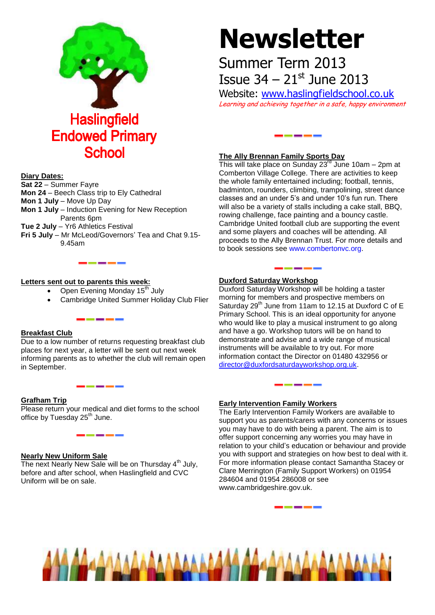

# **Newsletter**

## Summer Term 2013 Issue  $34 - 21$ <sup>st</sup> June 2013

Website: [www.haslingfieldschool.co.uk](http://www.haslingfieldschool.co.uk/) Learning and achieving together in a safe, happy environment

<u>i bilin bilin bilin bilin</u>

#### **The Ally Brennan Family Sports Day**

This will take place on Sunday  $23<sup>rd</sup>$  June 10am – 2pm at Comberton Village College. There are activities to keep the whole family entertained including; football, tennis, badminton, rounders, climbing, trampolining, street dance classes and an under 5's and under 10's fun run. There will also be a variety of stalls including a cake stall, BBQ, rowing challenge, face painting and a bouncy castle. Cambridge United football club are supporting the event and some players and coaches will be attending. All proceeds to the Ally Brennan Trust. For more details and to book sessions see [www.combertonvc.org.](http://www.combertonvc.org/)

#### **Duxford Saturday Workshop**

Duxford Saturday Workshop will be holding a taster morning for members and prospective members on Saturday  $29<sup>th</sup>$  June from 11am to 12.15 at Duxford C of E Primary School. This is an ideal opportunity for anyone who would like to play a musical instrument to go along and have a go. Workshop tutors will be on hand to demonstrate and advise and a wide range of musical instruments will be available to try out. For more information contact the Director on 01480 432956 or [director@duxfordsaturdayworkshop.org.uk.](mailto:director@duxfordsaturdayworkshop.org.uk)

\_\_\_\_

#### **Early Intervention Family Workers**

The Early Intervention Family Workers are available to support you as parents/carers with any concerns or issues you may have to do with being a parent. The aim is to offer support concerning any worries you may have in relation to your child's education or behaviour and provide you with support and strategies on how best to deal with it. For more information please contact Samantha Stacey or Clare Merrington (Family Support Workers) on 01954 284604 and 01954 286008 or see www.cambridgeshire.gov.uk.



#### **Diary Dates:**

**Sat 22** – Summer Fayre **Mon 24** – Beech Class trip to Ely Cathedral **Mon 1 July - Move Up Day Mon 1 July** – Induction Evening for New Reception Parents 6pm **Tue 2 July** – Yr6 Athletics Festival **Fri 5 July** – Mr McLeod/Governors' Tea and Chat 9.15- 9.45am

#### **Letters sent out to parents this week:**

Open Evening Monday 15<sup>th</sup> July

------

------

<u> — — — — </u>

Cambridge United Summer Holiday Club Flier

#### **Breakfast Club**

Due to a low number of returns requesting breakfast club places for next year, a letter will be sent out next week informing parents as to whether the club will remain open in September.

#### **Grafham Trip**

Please return your medical and diet forms to the school office by Tuesday 25<sup>th</sup> June.

#### **Nearly New Uniform Sale**

The next Nearly New Sale will be on Thursday  $4<sup>th</sup>$  July, before and after school, when Haslingfield and CVC Uniform will be on sale.